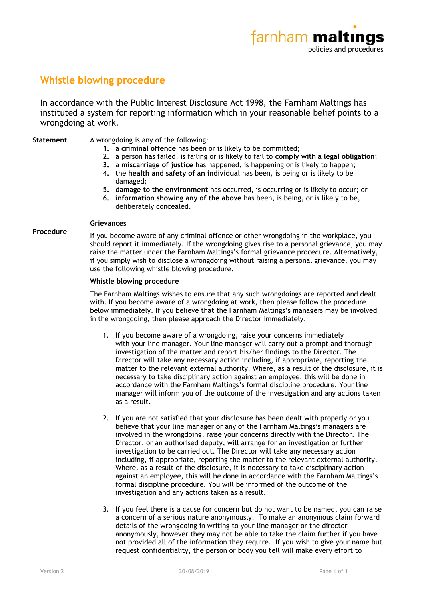## **Whistle blowing procedure**

In accordance with the Public Interest Disclosure Act 1998, the Farnham Maltings has instituted a system for reporting information which in your reasonable belief points to a wrongdoing at work.

| <b>Statement</b> | A wrongdoing is any of the following:<br>1. a criminal offence has been or is likely to be committed;<br>2. a person has failed, is failing or is likely to fail to comply with a legal obligation;<br>3. a miscarriage of justice has happened, is happening or is likely to happen;<br>4. the health and safety of an individual has been, is being or is likely to be<br>damaged;<br>5. damage to the environment has occurred, is occurring or is likely to occur; or<br>6. information showing any of the above has been, is being, or is likely to be,<br>deliberately concealed.                                                                                                                                                                                                                                   |
|------------------|---------------------------------------------------------------------------------------------------------------------------------------------------------------------------------------------------------------------------------------------------------------------------------------------------------------------------------------------------------------------------------------------------------------------------------------------------------------------------------------------------------------------------------------------------------------------------------------------------------------------------------------------------------------------------------------------------------------------------------------------------------------------------------------------------------------------------|
| Procedure        | <b>Grievances</b><br>If you become aware of any criminal offence or other wrongdoing in the workplace, you<br>should report it immediately. If the wrongdoing gives rise to a personal grievance, you may<br>raise the matter under the Farnham Maltings's formal grievance procedure. Alternatively,<br>if you simply wish to disclose a wrongdoing without raising a personal grievance, you may<br>use the following whistle blowing procedure.                                                                                                                                                                                                                                                                                                                                                                        |
|                  | Whistle blowing procedure                                                                                                                                                                                                                                                                                                                                                                                                                                                                                                                                                                                                                                                                                                                                                                                                 |
|                  | The Farnham Maltings wishes to ensure that any such wrongdoings are reported and dealt<br>with. If you become aware of a wrongdoing at work, then please follow the procedure<br>below immediately. If you believe that the Farnham Maltings's managers may be involved<br>in the wrongdoing, then please approach the Director immediately.                                                                                                                                                                                                                                                                                                                                                                                                                                                                              |
|                  | 1. If you become aware of a wrongdoing, raise your concerns immediately<br>with your line manager. Your line manager will carry out a prompt and thorough<br>investigation of the matter and report his/her findings to the Director. The<br>Director will take any necessary action including, if appropriate, reporting the<br>matter to the relevant external authority. Where, as a result of the disclosure, it is<br>necessary to take disciplinary action against an employee, this will be done in<br>accordance with the Farnham Maltings's formal discipline procedure. Your line<br>manager will inform you of the outcome of the investigation and any actions taken<br>as a result.                                                                                                                          |
|                  | 2. If you are not satisfied that your disclosure has been dealt with properly or you<br>believe that your line manager or any of the Farnham Maltings's managers are<br>involved in the wrongdoing, raise your concerns directly with the Director. The<br>Director, or an authorised deputy, will arrange for an investigation or further<br>investigation to be carried out. The Director will take any necessary action<br>including, if appropriate, reporting the matter to the relevant external authority.<br>Where, as a result of the disclosure, it is necessary to take disciplinary action<br>against an employee, this will be done in accordance with the Farnham Maltings's<br>formal discipline procedure. You will be informed of the outcome of the<br>investigation and any actions taken as a result. |
|                  | 3. If you feel there is a cause for concern but do not want to be named, you can raise<br>a concern of a serious nature anonymously. To make an anonymous claim forward<br>details of the wrongdoing in writing to your line manager or the director<br>anonymously, however they may not be able to take the claim further if you have<br>not provided all of the information they require. If you wish to give your name but<br>request confidentiality, the person or body you tell will make every effort to                                                                                                                                                                                                                                                                                                          |